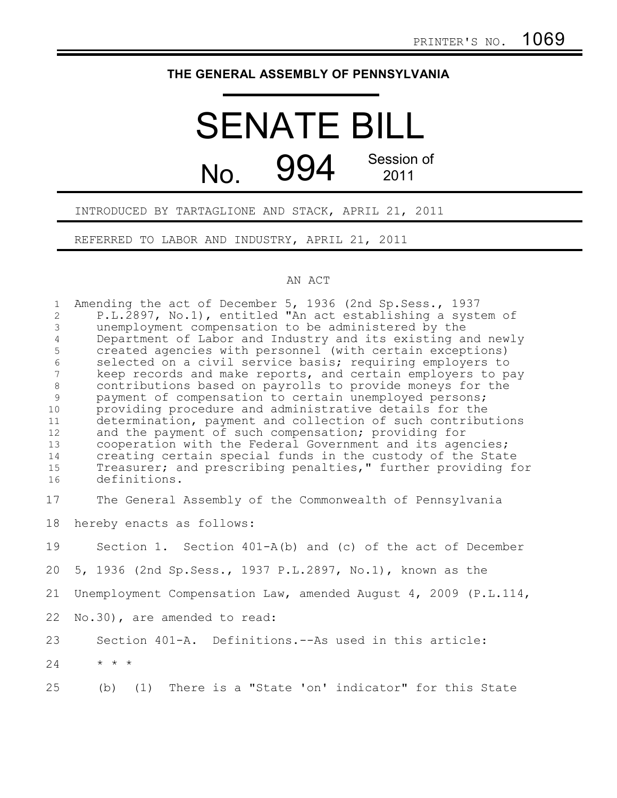## **THE GENERAL ASSEMBLY OF PENNSYLVANIA**

# SENATE BILL No. 994 Session of 2011

## INTRODUCED BY TARTAGLIONE AND STACK, APRIL 21, 2011

REFERRED TO LABOR AND INDUSTRY, APRIL 21, 2011

### AN ACT

| $\mathbf{1}$                     | Amending the act of December 5, 1936 (2nd Sp. Sess., 1937                                                              |
|----------------------------------|------------------------------------------------------------------------------------------------------------------------|
| $\overline{2}$                   | P.L.2897, No.1), entitled "An act establishing a system of                                                             |
| $\mathfrak{Z}$<br>$\overline{4}$ | unemployment compensation to be administered by the                                                                    |
|                                  | Department of Labor and Industry and its existing and newly                                                            |
| 5<br>6                           | created agencies with personnel (with certain exceptions)<br>selected on a civil service basis; requiring employers to |
| $\overline{7}$                   | keep records and make reports, and certain employers to pay                                                            |
| $\,8\,$                          | contributions based on payrolls to provide moneys for the                                                              |
| 9                                | payment of compensation to certain unemployed persons;                                                                 |
| 10                               | providing procedure and administrative details for the                                                                 |
| 11                               | determination, payment and collection of such contributions                                                            |
| 12                               | and the payment of such compensation; providing for                                                                    |
| 13                               | cooperation with the Federal Government and its agencies;                                                              |
| 14                               | creating certain special funds in the custody of the State                                                             |
| 15                               | Treasurer; and prescribing penalties," further providing for                                                           |
| 16                               | definitions.                                                                                                           |
| 17                               | The General Assembly of the Commonwealth of Pennsylvania                                                               |
|                                  |                                                                                                                        |
| 18                               | hereby enacts as follows:                                                                                              |
| 19                               | Section 1. Section $401-A(b)$ and (c) of the act of December                                                           |
| 20                               | 5, 1936 (2nd Sp. Sess., 1937 P.L. 2897, No. 1), known as the                                                           |
| 21                               | Unemployment Compensation Law, amended August 4, 2009 (P.L.114,                                                        |
| 22                               | No.30), are amended to read:                                                                                           |
| 23                               | Section 401-A. Definitions.--As used in this article:                                                                  |
| 24                               | $\star$ $\star$ $\star$                                                                                                |
| 25                               | (1) There is a "State 'on' indicator" for this State<br>(b)                                                            |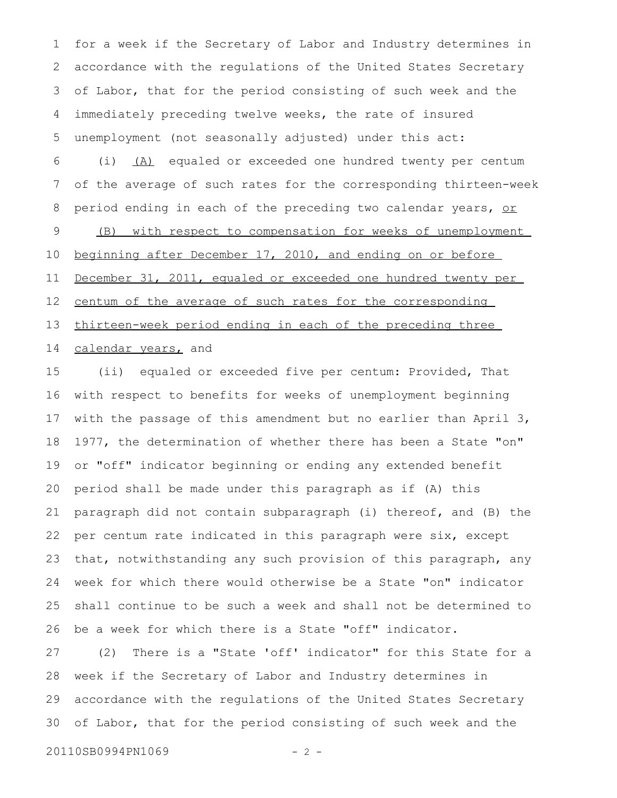for a week if the Secretary of Labor and Industry determines in accordance with the regulations of the United States Secretary of Labor, that for the period consisting of such week and the immediately preceding twelve weeks, the rate of insured unemployment (not seasonally adjusted) under this act: (i) (A) equaled or exceeded one hundred twenty per centum of the average of such rates for the corresponding thirteen-week period ending in each of the preceding two calendar years, or (B) with respect to compensation for weeks of unemployment beginning after December 17, 2010, and ending on or before 1 2 3 4 5 6 7 8 9 10

December 31, 2011, equaled or exceeded one hundred twenty per centum of the average of such rates for the corresponding thirteen-week period ending in each of the preceding three 11 12 13

#### calendar years, and 14

(ii) equaled or exceeded five per centum: Provided, That with respect to benefits for weeks of unemployment beginning with the passage of this amendment but no earlier than April 3, 1977, the determination of whether there has been a State "on" or "off" indicator beginning or ending any extended benefit period shall be made under this paragraph as if (A) this paragraph did not contain subparagraph (i) thereof, and (B) the per centum rate indicated in this paragraph were six, except that, notwithstanding any such provision of this paragraph, any week for which there would otherwise be a State "on" indicator shall continue to be such a week and shall not be determined to be a week for which there is a State "off" indicator. 15 16 17 18 19 20 21 22 23 24 25 26

(2) There is a "State 'off' indicator" for this State for a week if the Secretary of Labor and Industry determines in accordance with the regulations of the United States Secretary of Labor, that for the period consisting of such week and the 27 28 29 30

20110SB0994PN1069 - 2 -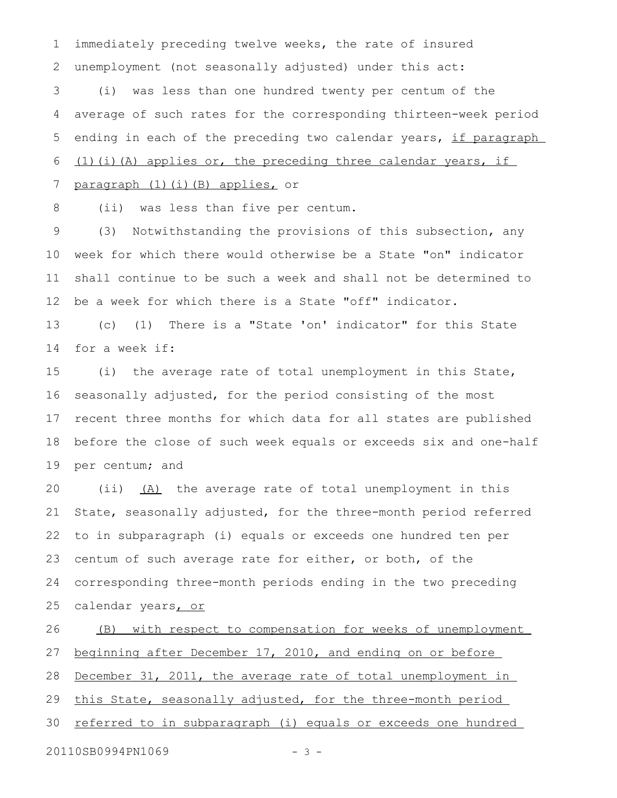immediately preceding twelve weeks, the rate of insured unemployment (not seasonally adjusted) under this act: 1 2

(i) was less than one hundred twenty per centum of the average of such rates for the corresponding thirteen-week period ending in each of the preceding two calendar years, if paragraph (1)(i)(A) applies or, the preceding three calendar years, if 3 4 5 6

#### paragraph (1)(i)(B) applies, or 7

(ii) was less than five per centum. 8

(3) Notwithstanding the provisions of this subsection, any week for which there would otherwise be a State "on" indicator shall continue to be such a week and shall not be determined to be a week for which there is a State "off" indicator. 9 10 11 12

(c) (1) There is a "State 'on' indicator" for this State for a week if: 13 14

(i) the average rate of total unemployment in this State, seasonally adjusted, for the period consisting of the most recent three months for which data for all states are published before the close of such week equals or exceeds six and one-half per centum; and 15 16 17 18 19

(ii) (A) the average rate of total unemployment in this State, seasonally adjusted, for the three-month period referred to in subparagraph (i) equals or exceeds one hundred ten per centum of such average rate for either, or both, of the corresponding three-month periods ending in the two preceding calendar years, or 20 21 22 23 24 25

(B) with respect to compensation for weeks of unemployment beginning after December 17, 2010, and ending on or before December 31, 2011, the average rate of total unemployment in this State, seasonally adjusted, for the three-month period referred to in subparagraph (i) equals or exceeds one hundred 26 27 28 29 30

20110SB0994PN1069 - 3 -